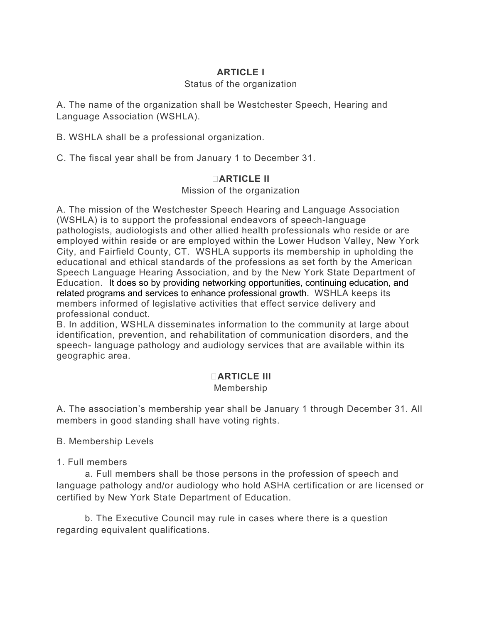### **ARTICLE I**

### Status of the organization

A. The name of the organization shall be Westchester Speech, Hearing and Language Association (WSHLA).

B. WSHLA shall be a professional organization.

C. The fiscal year shall be from January 1 to December 31.

### **ARTICLE II**

Mission of the organization

A. The mission of the Westchester Speech Hearing and Language Association (WSHLA) is to support the professional endeavors of speech-language pathologists, audiologists and other allied health professionals who reside or are employed within reside or are employed within the Lower Hudson Valley, New York City, and Fairfield County, CT. WSHLA supports its membership in upholding the educational and ethical standards of the professions as set forth by the American Speech Language Hearing Association, and by the New York State Department of Education. It does so by providing networking opportunities, continuing education, and related programs and services to enhance professional growth. WSHLA keeps its members informed of legislative activities that effect service delivery and professional conduct.

B. In addition, WSHLA disseminates information to the community at large about identification, prevention, and rehabilitation of communication disorders, and the speech- language pathology and audiology services that are available within its geographic area.

# **ARTICLE III**

### Membership

A. The association's membership year shall be January 1 through December 31. All members in good standing shall have voting rights.

B. Membership Levels

1. Full members

 a. Full members shall be those persons in the profession of speech and language pathology and/or audiology who hold ASHA certification or are licensed or certified by New York State Department of Education.

 b. The Executive Council may rule in cases where there is a question regarding equivalent qualifications.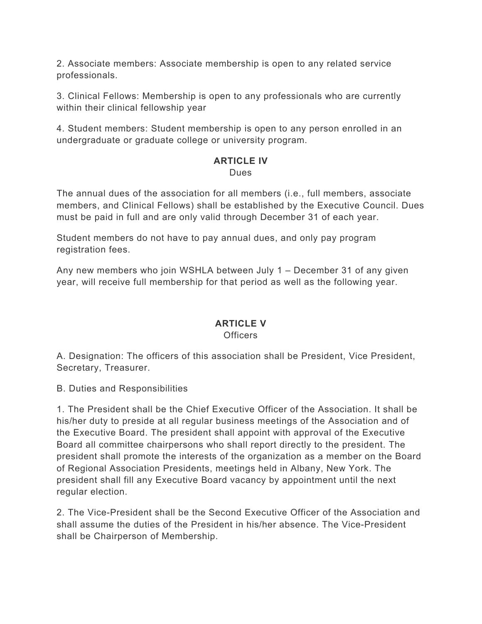2. Associate members: Associate membership is open to any related service professionals.

3. Clinical Fellows: Membership is open to any professionals who are currently within their clinical fellowship year

4. Student members: Student membership is open to any person enrolled in an undergraduate or graduate college or university program.

#### **ARTICLE IV** Dues

The annual dues of the association for all members (i.e., full members, associate members, and Clinical Fellows) shall be established by the Executive Council. Dues must be paid in full and are only valid through December 31 of each year.

Student members do not have to pay annual dues, and only pay program registration fees.

Any new members who join WSHLA between July 1 – December 31 of any given year, will receive full membership for that period as well as the following year.

### **ARTICLE V Officers**

A. Designation: The officers of this association shall be President, Vice President, Secretary, Treasurer.

B. Duties and Responsibilities

1. The President shall be the Chief Executive Officer of the Association. It shall be his/her duty to preside at all regular business meetings of the Association and of the Executive Board. The president shall appoint with approval of the Executive Board all committee chairpersons who shall report directly to the president. The president shall promote the interests of the organization as a member on the Board of Regional Association Presidents, meetings held in Albany, New York. The president shall fill any Executive Board vacancy by appointment until the next regular election.

2. The Vice-President shall be the Second Executive Officer of the Association and shall assume the duties of the President in his/her absence. The Vice-President shall be Chairperson of Membership.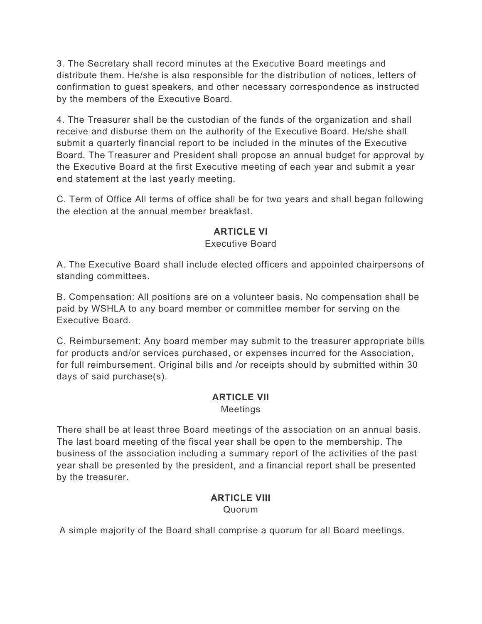3. The Secretary shall record minutes at the Executive Board meetings and distribute them. He/she is also responsible for the distribution of notices, letters of confirmation to guest speakers, and other necessary correspondence as instructed by the members of the Executive Board.

4. The Treasurer shall be the custodian of the funds of the organization and shall receive and disburse them on the authority of the Executive Board. He/she shall submit a quarterly financial report to be included in the minutes of the Executive Board. The Treasurer and President shall propose an annual budget for approval by the Executive Board at the first Executive meeting of each year and submit a year end statement at the last yearly meeting.

C. Term of Office All terms of office shall be for two years and shall began following the election at the annual member breakfast.

# **ARTICLE VI**

### Executive Board

A. The Executive Board shall include elected officers and appointed chairpersons of standing committees.

B. Compensation: All positions are on a volunteer basis. No compensation shall be paid by WSHLA to any board member or committee member for serving on the Executive Board.

C. Reimbursement: Any board member may submit to the treasurer appropriate bills for products and/or services purchased, or expenses incurred for the Association, for full reimbursement. Original bills and /or receipts should by submitted within 30 days of said purchase(s).

## **ARTICLE VII**

Meetings

There shall be at least three Board meetings of the association on an annual basis. The last board meeting of the fiscal year shall be open to the membership. The business of the association including a summary report of the activities of the past year shall be presented by the president, and a financial report shall be presented by the treasurer.

#### **ARTICLE VIII** Quorum

A simple majority of the Board shall comprise a quorum for all Board meetings.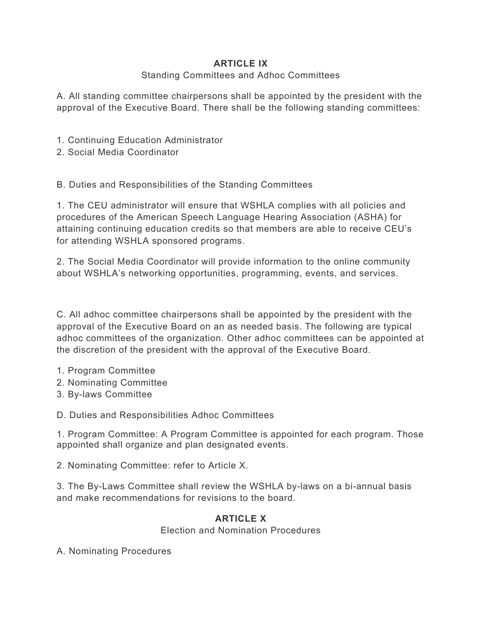## **ARTICLE IX**

### Standing Committees and Adhoc Committees

A. All standing committee chairpersons shall be appointed by the president with the approval of the Executive Board. There shall be the following standing committees:

- 1. Continuing Education Administrator
- 2. Social Media Coordinator

B. Duties and Responsibilities of the Standing Committees

1. The CEU administrator will ensure that WSHLA complies with all policies and procedures of the American Speech Language Hearing Association (ASHA) for attaining continuing education credits so that members are able to receive CEU's for attending WSHLA sponsored programs.

2. The Social Media Coordinator will provide information to the online community about WSHLA's networking opportunities, programming, events, and services.

C. All adhoc committee chairpersons shall be appointed by the president with the approval of the Executive Board on an as needed basis. The following are typical adhoc committees of the organization. Other adhoc committees can be appointed at the discretion of the president with the approval of the Executive Board.

- 1. Program Committee
- 2. Nominating Committee
- 3. By-laws Committee

D. Duties and Responsibilities Adhoc Committees

1. Program Committee: A Program Committee is appointed for each program. Those appointed shall organize and plan designated events.

2. Nominating Committee: refer to Article X.

3. The By-Laws Committee shall review the WSHLA by-laws on a bi-annual basis and make recommendations for revisions to the board.

## **ARTICLE X**

Election and Nomination Procedures

A. Nominating Procedures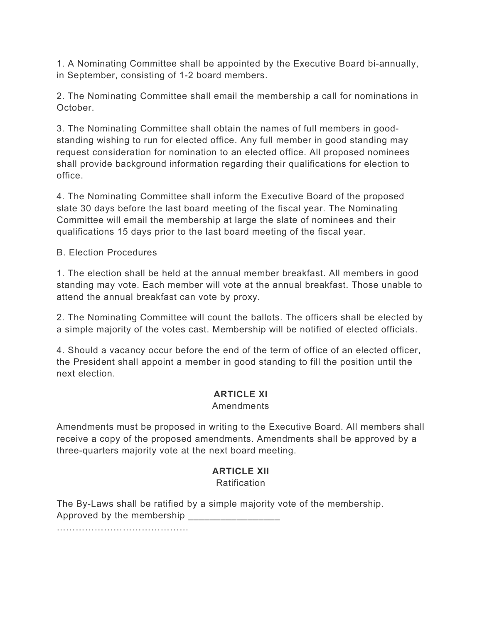1. A Nominating Committee shall be appointed by the Executive Board bi-annually, in September, consisting of 1-2 board members.

2. The Nominating Committee shall email the membership a call for nominations in October.

3. The Nominating Committee shall obtain the names of full members in goodstanding wishing to run for elected office. Any full member in good standing may request consideration for nomination to an elected office. All proposed nominees shall provide background information regarding their qualifications for election to office.

4. The Nominating Committee shall inform the Executive Board of the proposed slate 30 days before the last board meeting of the fiscal year. The Nominating Committee will email the membership at large the slate of nominees and their qualifications 15 days prior to the last board meeting of the fiscal year.

B. Election Procedures

1. The election shall be held at the annual member breakfast. All members in good standing may vote. Each member will vote at the annual breakfast. Those unable to attend the annual breakfast can vote by proxy.

2. The Nominating Committee will count the ballots. The officers shall be elected by a simple majority of the votes cast. Membership will be notified of elected officials.

4. Should a vacancy occur before the end of the term of office of an elected officer, the President shall appoint a member in good standing to fill the position until the next election.

## **ARTICLE XI**

#### Amendments

Amendments must be proposed in writing to the Executive Board. All members shall receive a copy of the proposed amendments. Amendments shall be approved by a three-quarters majority vote at the next board meeting.

# **ARTICLE XII**

Ratification

The By-Laws shall be ratified by a simple majority vote of the membership. Approved by the membership

……………………………………